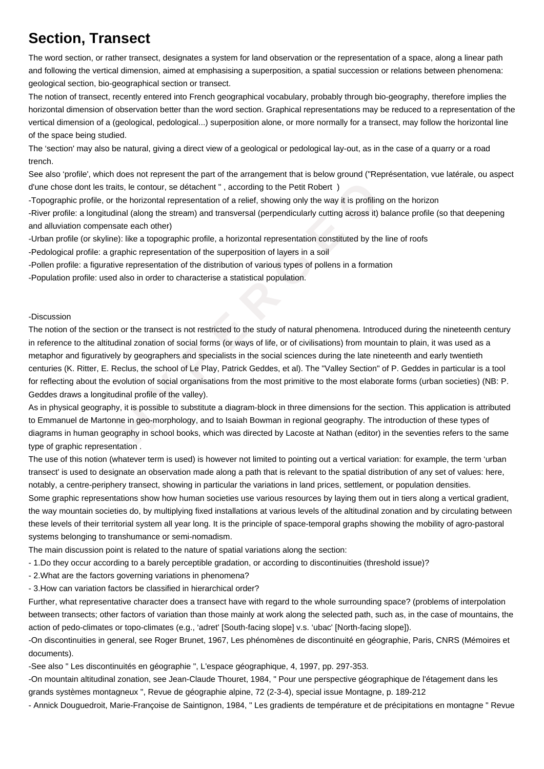## **Section, Transect**

The word section, or rather transect, designates a system for land observation or the representation of a space, along a linear path and following the vertical dimension, aimed at emphasising a superposition, a spatial succession or relations between phenomena: geological section, bio-geographical section or transect.

The notion of transect, recently entered into French geographical vocabulary, probably through bio-geography, therefore implies the horizontal dimension of observation better than the word section. Graphical representations may be reduced to a representation of the vertical dimension of a (geological, pedological...) superposition alone, or more normally for a transect, may follow the horizontal line of the space being studied.

The 'section' may also be natural, giving a direct view of a geological or pedological lay-out, as in the case of a quarry or a road trench.

See also 'profile', which does not represent the part of the arrangement that is below ground ("Représentation, vue latérale, ou aspect d'une chose dont les traits, le contour, se détachent " , according to the Petit Robert )

- Topographic profile, or the horizontal representation of a relief, showing only the way it is profiling on the horizon

- River profile: a longitudinal (along the stream) and transversal (perpendicularly cutting across it) balance profile (so that deepening and alluviation compensate each other)

- Urban profile (or skyline): like a topographic profile, a horizontal representation constituted by the line of roofs
- Pedological profile: a graphic representation of the superposition of layers in a soil
- Pollen profile: a figurative representation of the distribution of various types of pollens in a formation
- Population profile: used also in order to characterise a statistical population.

## -Discussion

les traits, le contour, se détachent ", according to the Petit Robert )<br>filie, or the horizontal representation of a relief, showing only the way it is profiling o<br>pongitudinal (along the stream) and transversal (perpendic The notion of the section or the transect is not restricted to the study of natural phenomena. Introduced during the nineteenth century in reference to the altitudinal zonation of social forms (or ways of life, or of civilisations) from mountain to plain, it was used as a metaphor and figuratively by geographers and specialists in the social sciences during the late nineteenth and early twentieth centuries (K. Ritter, E. Reclus, the school of Le Play, Patrick Geddes, et al). The "Valley Section" of P. Geddes in particular is a tool for reflecting about the evolution of social organisations from the most primitive to the most elaborate forms (urban societies) (NB: P. Geddes draws a longitudinal profile of the valley).

As in physical geography, it is possible to substitute a diagram-block in three dimensions for the section. This application is attributed to Emmanuel de Martonne in geo-morphology, and to Isaiah Bowman in regional geography. The introduction of these types of diagrams in human geography in school books, which was directed by Lacoste at Nathan (editor) in the seventies refers to the same type of graphic representation .

The use of this notion (whatever term is used) is however not limited to pointing out a vertical variation: for example, the term 'urban transect' is used to designate an observation made along a path that is relevant to the spatial distribution of any set of values: here, notably, a centre-periphery transect, showing in particular the variations in land prices, settlement, or population densities. Some graphic representations show how human societies use various resources by laying them out in tiers along a vertical gradient,

the way mountain societies do, by multiplying fixed installations at various levels of the altitudinal zonation and by circulating between these levels of their territorial system all year long. It is the principle of space-temporal graphs showing the mobility of agro-pastoral systems belonging to transhumance or semi-nomadism.

The main discussion point is related to the nature of spatial variations along the section:

- 1. Do they occur according to a barely perceptible gradation, or according to discontinuities (threshold issue)?
- 2. What are the factors governing variations in phenomena?
- 3. How can variation factors be classified in hierarchical order?

Further, what representative character does a transect have with regard to the whole surrounding space? (problems of interpolation between transects; other factors of variation than those mainly at work along the selected path, such as, in the case of mountains, the action of pedo-climates or topo-climates (e.g., 'adret' [South-facing slope] v.s. 'ubac' [North-facing slope]).

-On discontinuities in general, see Roger Brunet, 1967, Les phénomènes de discontinuité en géographie, Paris, CNRS (Mémoires et documents).

-See also " Les discontinuités en géographie ", L'espace géographique, 4, 1997, pp. 297-353.

-On mountain altitudinal zonation, see Jean-Claude Thouret, 1984, " Pour une perspective géographique de l'étagement dans les grands systèmes montagneux ", Revue de géographie alpine, 72 (2-3-4), special issue Montagne, p. 189-212

- Annick Douguedroit, Marie-Françoise de Saintignon, 1984, " Les gradients de température et de précipitations en montagne " Revue